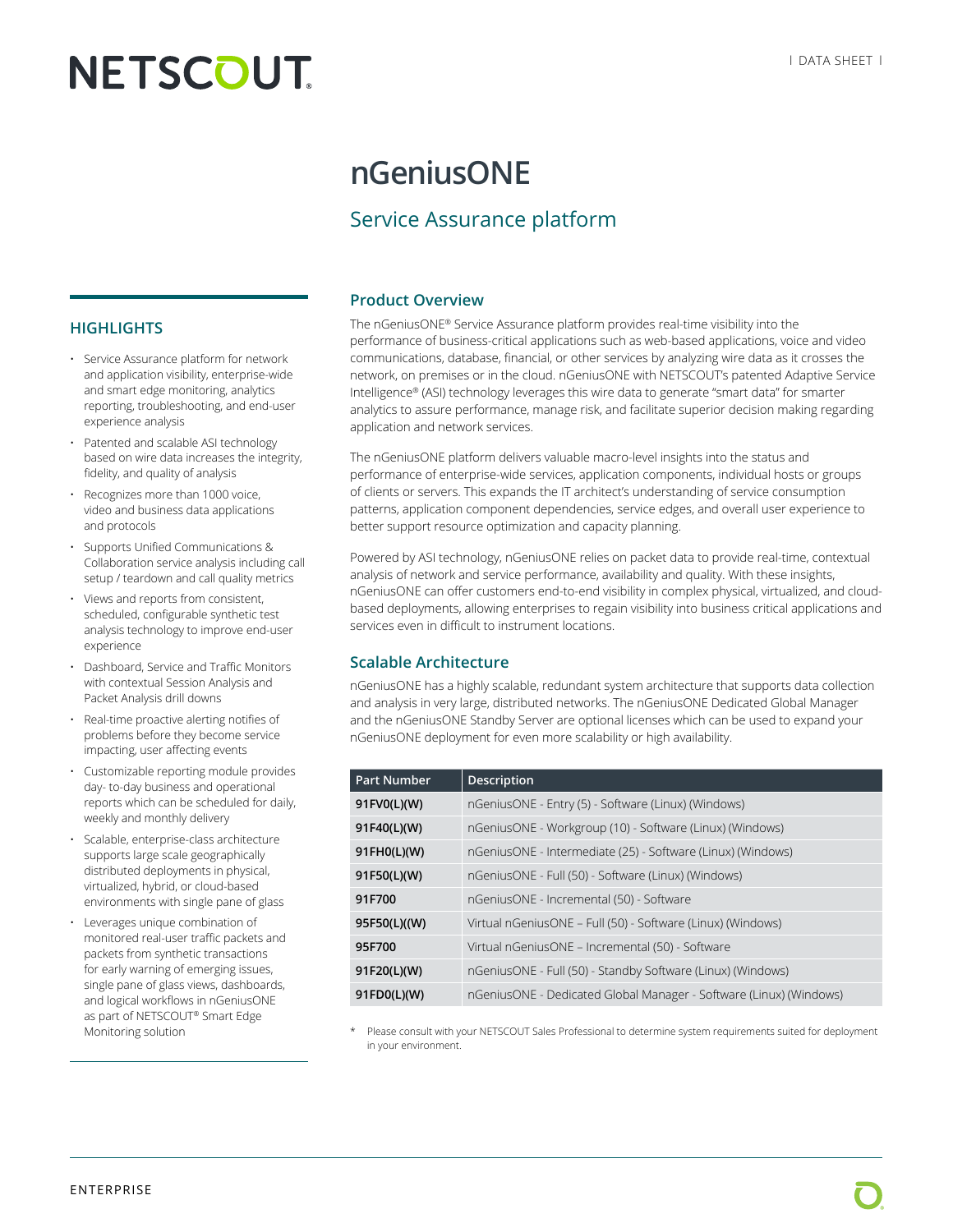# **NETSCOUT**

## **nGeniusONE**

### Service Assurance platform

#### **Product Overview**

The nGeniusONE® Service Assurance platform provides real-time visibility into the performance of business-critical applications such as web-based applications, voice and video communications, database, financial, or other services by analyzing wire data as it crosses the network, on premises or in the cloud. nGeniusONE with NETSCOUT's patented Adaptive Service Intelligence® (ASI) technology leverages this wire data to generate "smart data" for smarter analytics to assure performance, manage risk, and facilitate superior decision making regarding application and network services.

The nGeniusONE platform delivers valuable macro-level insights into the status and performance of enterprise-wide services, application components, individual hosts or groups of clients or servers. This expands the IT architect's understanding of service consumption patterns, application component dependencies, service edges, and overall user experience to better support resource optimization and capacity planning.

Powered by ASI technology, nGeniusONE relies on packet data to provide real-time, contextual analysis of network and service performance, availability and quality. With these insights, nGeniusONE can offer customers end-to-end visibility in complex physical, virtualized, and cloudbased deployments, allowing enterprises to regain visibility into business critical applications and services even in difficult to instrument locations.

#### **Scalable Architecture**

nGeniusONE has a highly scalable, redundant system architecture that supports data collection and analysis in very large, distributed networks. The nGeniusONE Dedicated Global Manager and the nGeniusONE Standby Server are optional licenses which can be used to expand your nGeniusONE deployment for even more scalability or high availability.

| <b>Part Number</b> | Description                                                        |
|--------------------|--------------------------------------------------------------------|
| 91FV0(L)(W)        | nGeniusONE - Entry (5) - Software (Linux) (Windows)                |
| 91F40(L)(W)        | nGeniusONE - Workgroup (10) - Software (Linux) (Windows)           |
| 91FH0(L)(W)        | nGeniusONE - Intermediate (25) - Software (Linux) (Windows)        |
| 91F50(L)(W)        | nGeniusONE - Full (50) - Software (Linux) (Windows)                |
| 91F700             | nGeniusONE - Incremental (50) - Software                           |
| 95F50(L)((W)       | Virtual nGeniusONE - Full (50) - Software (Linux) (Windows)        |
| 95F700             | Virtual nGeniusONE - Incremental (50) - Software                   |
| 91F20(L)(W)        | nGeniusONE - Full (50) - Standby Software (Linux) (Windows)        |
| 91FD0(L)(W)        | nGeniusONE - Dedicated Global Manager - Software (Linux) (Windows) |

Please consult with your NETSCOUT Sales Professional to determine system requirements suited for deployment in your environment.

#### **HIGHLIGHTS**

- Service Assurance platform for network and application visibility, enterprise-wide and smart edge monitoring, analytics reporting, troubleshooting, and end-user experience analysis
- Patented and scalable ASI technology based on wire data increases the integrity, fidelity, and quality of analysis
- Recognizes more than 1000 voice, video and business data applications and protocols
- Supports Unified Communications & Collaboration service analysis including call setup / teardown and call quality metrics
- Views and reports from consistent, scheduled, configurable synthetic test analysis technology to improve end-user experience
- Dashboard, Service and Traffic Monitors with contextual Session Analysis and Packet Analysis drill downs
- Real-time proactive alerting notifies of problems before they become service impacting, user affecting events
- Customizable reporting module provides day- to-day business and operational reports which can be scheduled for daily, weekly and monthly delivery
- Scalable, enterprise-class architecture supports large scale geographically distributed deployments in physical, virtualized, hybrid, or cloud-based environments with single pane of glass
- Leverages unique combination of monitored real-user traffic packets and packets from synthetic transactions for early warning of emerging issues, single pane of glass views, dashboards, and logical workflows in nGeniusONE as part of NETSCOUT® Smart Edge Monitoring solution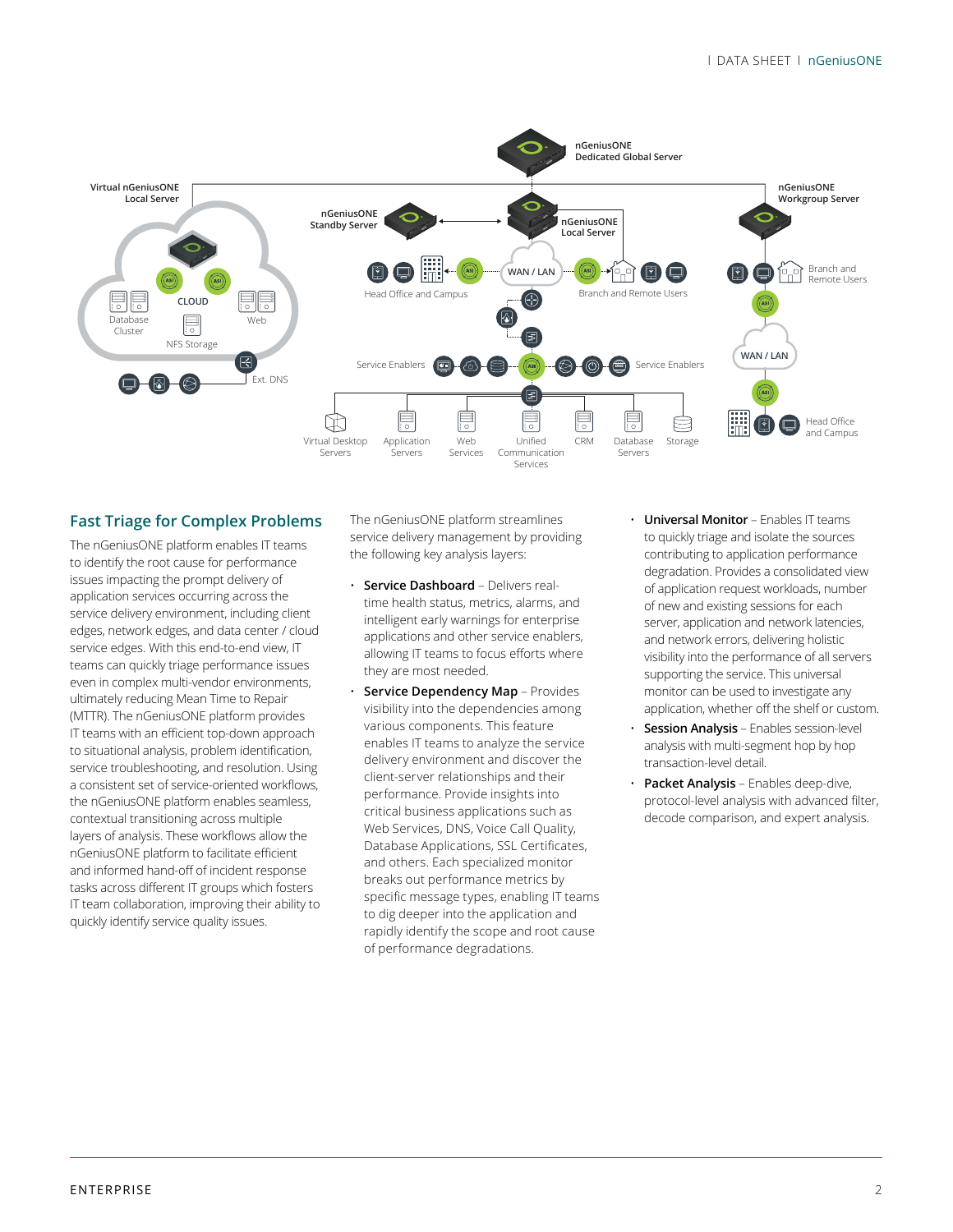

#### **Fast Triage for Complex Problems**

The nGeniusONE platform enables IT teams to identify the root cause for performance issues impacting the prompt delivery of application services occurring across the service delivery environment, including client edges, network edges, and data center / cloud service edges. With this end-to-end view, IT teams can quickly triage performance issues even in complex multi-vendor environments, ultimately reducing Mean Time to Repair (MTTR). The nGeniusONE platform provides IT teams with an efficient top-down approach to situational analysis, problem identification, service troubleshooting, and resolution. Using a consistent set of service-oriented workflows, the nGeniusONE platform enables seamless, contextual transitioning across multiple layers of analysis. These workflows allow the nGeniusONE platform to facilitate efficient and informed hand-off of incident response tasks across different IT groups which fosters IT team collaboration, improving their ability to quickly identify service quality issues.

The nGeniusONE platform streamlines service delivery management by providing the following key analysis layers:

- **Service Dashboard** Delivers realtime health status, metrics, alarms, and intelligent early warnings for enterprise applications and other service enablers, allowing IT teams to focus efforts where they are most needed.
- **Service Dependency Map** Provides visibility into the dependencies among various components. This feature enables IT teams to analyze the service delivery environment and discover the client-server relationships and their performance. Provide insights into critical business applications such as Web Services, DNS, Voice Call Quality, Database Applications, SSL Certificates, and others. Each specialized monitor breaks out performance metrics by specific message types, enabling IT teams to dig deeper into the application and rapidly identify the scope and root cause of performance degradations.
- **Universal Monitor** Enables IT teams to quickly triage and isolate the sources contributing to application performance degradation. Provides a consolidated view of application request workloads, number of new and existing sessions for each server, application and network latencies, and network errors, delivering holistic visibility into the performance of all servers supporting the service. This universal monitor can be used to investigate any application, whether off the shelf or custom.
- **Session Analysis** Enables session-level analysis with multi-segment hop by hop transaction-level detail.
- **Packet Analysis** Enables deep-dive, protocol-level analysis with advanced filter, decode comparison, and expert analysis.